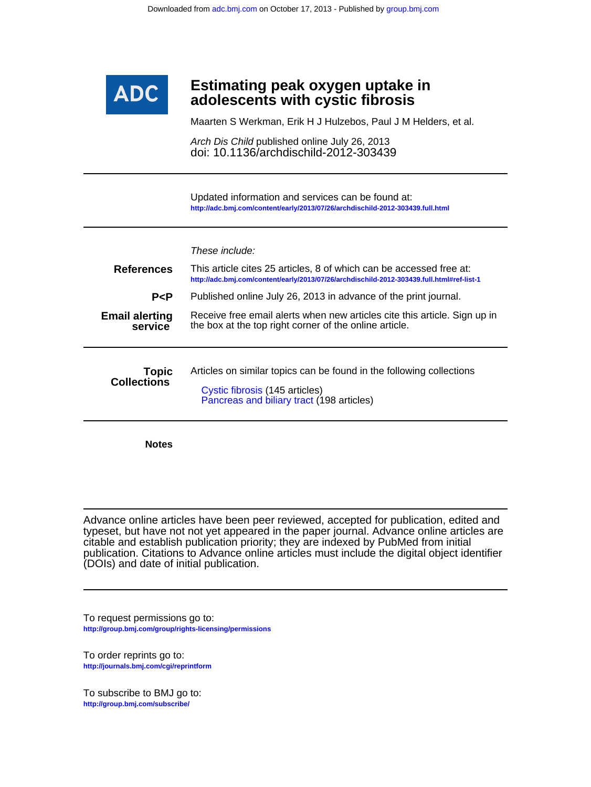

## **adolescents with cystic fibrosis Estimating peak oxygen uptake in**

Maarten S Werkman, Erik H J Hulzebos, Paul J M Helders, et al.

doi: 10.1136/archdischild-2012-303439 Arch Dis Child published online July 26, 2013

**<http://adc.bmj.com/content/early/2013/07/26/archdischild-2012-303439.full.html>** Updated information and services can be found at:

| <b>References</b><br>P < P         | These include:<br>This article cites 25 articles, 8 of which can be accessed free at:<br>http://adc.bmj.com/content/early/2013/07/26/archdischild-2012-303439.full.html#ref-list-1<br>Published online July 26, 2013 in advance of the print journal. |
|------------------------------------|-------------------------------------------------------------------------------------------------------------------------------------------------------------------------------------------------------------------------------------------------------|
| <b>Email alerting</b><br>service   | Receive free email alerts when new articles cite this article. Sign up in<br>the box at the top right corner of the online article.                                                                                                                   |
| <b>Topic</b><br><b>Collections</b> | Articles on similar topics can be found in the following collections<br>Cystic fibrosis (145 articles)<br>Pancreas and biliary tract (198 articles)                                                                                                   |

**Notes**

(DOIs) and date of initial publication. publication. Citations to Advance online articles must include the digital object identifier citable and establish publication priority; they are indexed by PubMed from initial typeset, but have not not yet appeared in the paper journal. Advance online articles are Advance online articles have been peer reviewed, accepted for publication, edited and

**<http://group.bmj.com/group/rights-licensing/permissions>** To request permissions go to:

**<http://journals.bmj.com/cgi/reprintform>** To order reprints go to:

**<http://group.bmj.com/subscribe/>** To subscribe to BMJ go to: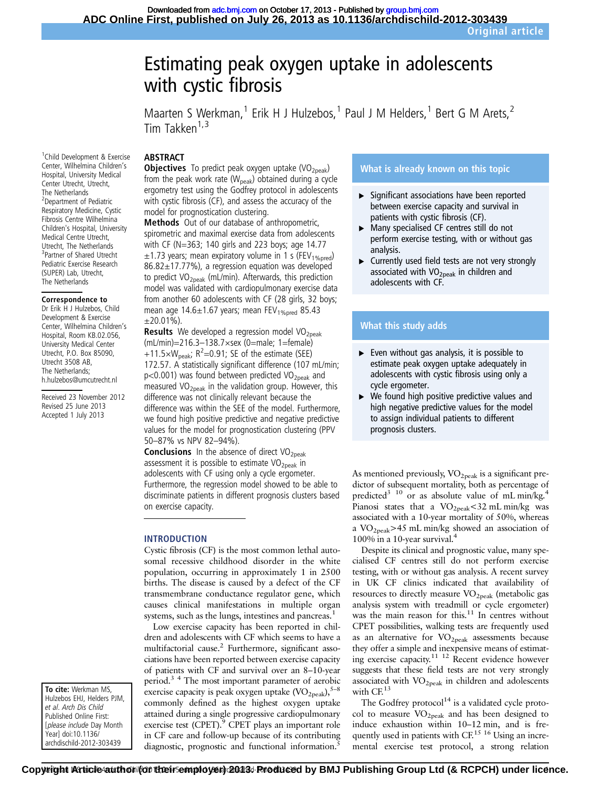# Estimating peak oxygen uptake in adolescents with cystic fibrosis

Maarten S Werkman,<sup>1</sup> Erik H J Hulzebos,<sup>1</sup> Paul J M Helders,<sup>1</sup> Bert G M Arets,<sup>2</sup> Tim Takken $1,3$ 

#### ABSTRACT

**Objectives** To predict peak oxygen uptake  $(VO<sub>2peak</sub>)$ from the peak work rate ( $W_{peak}$ ) obtained during a cycle ergometry test using the Godfrey protocol in adolescents with cystic fibrosis (CF), and assess the accuracy of the model for prognostication clustering.

Methods Out of our database of anthropometric, spirometric and maximal exercise data from adolescents with CF (N=363; 140 girls and 223 boys; age 14.77  $\pm$ 1.73 years; mean expiratory volume in 1 s (FEV<sub>1%pred</sub>) 86.82±17.77%), a regression equation was developed to predict  $VO<sub>2peak</sub>$  (mL/min). Afterwards, this prediction model was validated with cardiopulmonary exercise data from another 60 adolescents with CF (28 girls, 32 boys; mean age  $14.6 \pm 1.67$  years; mean FEV<sub>1%pred</sub> 85.43  $\pm 20.01\%$ ).

**Results** We developed a regression model VO<sub>2peak</sub> (mL/min)=216.3–138.7×sex (0=male; 1=female) +11.5× $W_{\text{peak}}$ ; R<sup>2</sup>=0.91; SE of the estimate (SEE) 172.57. A statistically significant difference (107 mL/min;  $p$ <0.001) was found between predicted VO<sub>2peak</sub> and measured  $VO<sub>2peak</sub>$  in the validation group. However, this difference was not clinically relevant because the difference was within the SEE of the model. Furthermore, we found high positive predictive and negative predictive values for the model for prognostication clustering (PPV 50–87% vs NPV 82–94%).

**Conclusions** In the absence of direct  $VO<sub>2peak</sub>$ assessment it is possible to estimate  $VO<sub>2peak</sub>$  in adolescents with CF using only a cycle ergometer. Furthermore, the regression model showed to be able to discriminate patients in different prognosis clusters based on exercise capacity.

#### INTRODUCTION

Cystic fibrosis (CF) is the most common lethal autosomal recessive childhood disorder in the white population, occurring in approximately 1 in 2500 births. The disease is caused by a defect of the CF transmembrane conductance regulator gene, which causes clinical manifestations in multiple organ systems, such as the lungs, intestines and pancreas.<sup>1</sup>

Low exercise capacity has been reported in children and adolescents with CF which seems to have a multifactorial cause.2 Furthermore, significant associations have been reported between exercise capacity of patients with CF and survival over an 8–10-year period.3 4 The most important parameter of aerobic exercise capacity is peak oxygen uptake  $(\text{VO}_{2\text{peak}}),^{5-8}$ commonly defined as the highest oxygen uptake attained during a single progressive cardiopulmonary exercise test (CPET).<sup>9</sup> CPET plays an important role in CF care and follow-up because of its contributing diagnostic, prognostic and functional information.<sup>5</sup>

#### What is already known on this topic

- ▸ Significant associations have been reported between exercise capacity and survival in patients with cystic fibrosis (CF).
- ▸ Many specialised CF centres still do not perform exercise testing, with or without gas analysis.
- ▸ Currently used field tests are not very strongly associated with VO<sub>2peak</sub> in children and adolescents with CF.

### What this study adds

- $\triangleright$  Even without gas analysis, it is possible to estimate peak oxygen uptake adequately in adolescents with cystic fibrosis using only a cycle ergometer.
- We found high positive predictive values and high negative predictive values for the model to assign individual patients to different prognosis clusters.

As mentioned previously,  $VO<sub>2peak</sub>$  is a significant predictor of subsequent mortality, both as percentage of predicted<sup>3 10</sup> or as absolute value of mL min/kg.<sup>4</sup> Pianosi states that a  $VO<sub>2peak</sub>< 32$  mL min/kg was associated with a 10-year mortality of 50%, whereas a  $VO<sub>2peak</sub> > 45$  mL min/kg showed an association of 100% in a 10-year survival.4

Despite its clinical and prognostic value, many specialised CF centres still do not perform exercise testing, with or without gas analysis. A recent survey in UK CF clinics indicated that availability of resources to directly measure  $VO<sub>2peak</sub>$  (metabolic gas analysis system with treadmill or cycle ergometer) was the main reason for this.<sup>11</sup> In centres without CPET possibilities, walking tests are frequently used as an alternative for  $VO<sub>2peak</sub>$  assessments because they offer a simple and inexpensive means of estimating exercise capacity.11 12 Recent evidence however suggests that these field tests are not very strongly associated with  $VO<sub>2peak</sub>$  in children and adolescents with CF.<sup>13</sup>

The Godfrey  $protocol<sup>14</sup>$  is a validated cycle protocol to measure VO<sub>2peak</sub> and has been designed to induce exhaustion within 10–12 min, and is frequently used in patients with  $CF<sup>15 16</sup>$  Using an incremental exercise test protocol, a strong relation

1 Child Development & Exercise Center, Wilhelmina Children's Hospital, University Medical Center Utrecht, Utrecht, The Netherlands 2 Department of Pediatric Respiratory Medicine, Cystic Fibrosis Centre Wilhelmina Children's Hospital, University Medical Centre Utrecht, Utrecht, The Netherlands 3 Partner of Shared Utrecht Pediatric Exercise Research (SUPER) Lab, Utrecht, The Netherlands

#### Correspondence to

Dr Erik H J Hulzebos, Child Development & Exercise Center, Wilhelmina Children's Hospital, Room KB.02.056, University Medical Center Utrecht, P.O. Box 85090, Utrecht 3508 AB, The Netherlands; h.hulzebos@umcutrecht.nl

Received 23 November 2012 Revised 25 June 2013 Accepted 1 July 2013

To cite: Werkman MS, Hulzebos EHJ, Helders PJM, et al. Arch Dis Child Published Online First: [please include Day Month Year] doi:10.1136/ archdischild-2012-303439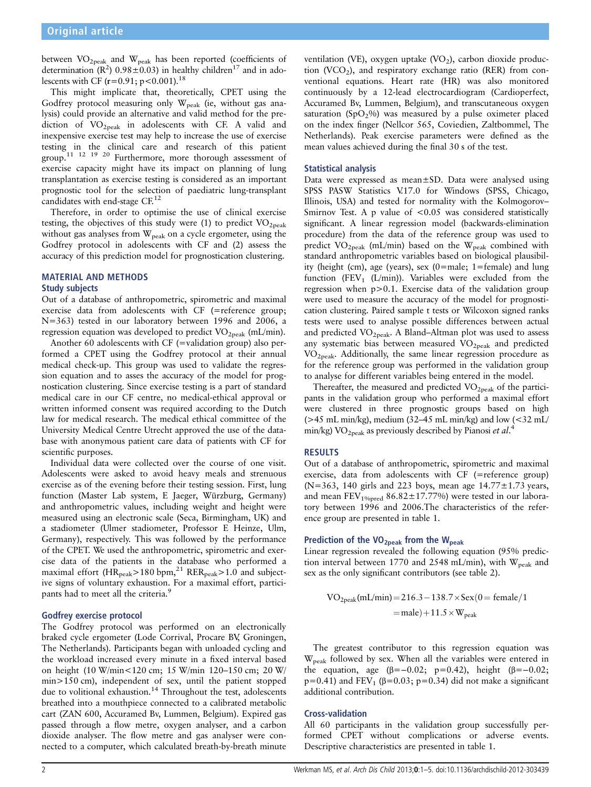between  $VO<sub>2peak</sub>$  and  $W<sub>peak</sub>$  has been reported (coefficients of determination ( $\mathbb{R}^2$ ) 0.98 $\pm$ 0.03) in healthy children<sup>17</sup> and in adolescents with CF  $(r=0.91; p<0.001)$ .<sup>18</sup>

This might implicate that, theoretically, CPET using the Godfrey protocol measuring only  $W_{peak}$  (ie, without gas analysis) could provide an alternative and valid method for the prediction of  $VO<sub>2peak</sub>$  in adolescents with CF. A valid and inexpensive exercise test may help to increase the use of exercise testing in the clinical care and research of this patient group.<sup>11 12 19</sup> <sup>20</sup> Furthermore, more thorough assessment of exercise capacity might have its impact on planning of lung transplantation as exercise testing is considered as an important prognostic tool for the selection of paediatric lung-transplant candidates with end-stage CF.<sup>12</sup>

Therefore, in order to optimise the use of clinical exercise testing, the objectives of this study were (1) to predict  $VO<sub>2peak</sub>$ without gas analyses from  $W_{peak}$  on a cycle ergometer, using the Godfrey protocol in adolescents with CF and (2) assess the accuracy of this prediction model for prognostication clustering.

#### MATERIAL AND METHODS Study subjects

Out of a database of anthropometric, spirometric and maximal exercise data from adolescents with CF (=reference group; N=363) tested in our laboratory between 1996 and 2006, a regression equation was developed to predict  $VO_{2\text{peak}}$  (mL/min).

Another 60 adolescents with CF (=validation group) also performed a CPET using the Godfrey protocol at their annual medical check-up. This group was used to validate the regression equation and to asses the accuracy of the model for prognostication clustering. Since exercise testing is a part of standard medical care in our CF centre, no medical-ethical approval or written informed consent was required according to the Dutch law for medical research. The medical ethical committee of the University Medical Centre Utrecht approved the use of the database with anonymous patient care data of patients with CF for scientific purposes.

Individual data were collected over the course of one visit. Adolescents were asked to avoid heavy meals and strenuous exercise as of the evening before their testing session. First, lung function (Master Lab system, E Jaeger, Würzburg, Germany) and anthropometric values, including weight and height were measured using an electronic scale (Seca, Birmingham, UK) and a stadiometer (Ulmer stadiometer, Professor E Heinze, Ulm, Germany), respectively. This was followed by the performance of the CPET. We used the anthropometric, spirometric and exercise data of the patients in the database who performed a maximal effort (H $R_{\text{peak}}$ >180 bpm,<sup>21</sup> RER<sub>peak</sub>>1.0 and subjective signs of voluntary exhaustion. For a maximal effort, participants had to meet all the criteria.<sup>9</sup>

#### Godfrey exercise protocol

The Godfrey protocol was performed on an electronically braked cycle ergometer (Lode Corrival, Procare BV, Groningen, The Netherlands). Participants began with unloaded cycling and the workload increased every minute in a fixed interval based on height (10 W/min<120 cm; 15 W/min 120–150 cm; 20 W/ min>150 cm), independent of sex, until the patient stopped due to volitional exhaustion.<sup>14</sup> Throughout the test, adolescents breathed into a mouthpiece connected to a calibrated metabolic cart (ZAN 600, Accuramed Bv, Lummen, Belgium). Expired gas passed through a flow metre, oxygen analyser, and a carbon dioxide analyser. The flow metre and gas analyser were connected to a computer, which calculated breath-by-breath minute

ventilation (VE), oxygen uptake (VO<sub>2</sub>), carbon dioxide production  $(VCO<sub>2</sub>)$ , and respiratory exchange ratio (RER) from conventional equations. Heart rate (HR) was also monitored continuously by a 12-lead electrocardiogram (Cardioperfect, Accuramed Bv, Lummen, Belgium), and transcutaneous oxygen saturation (SpO<sub>2</sub>%) was measured by a pulse oximeter placed on the index finger (Nellcor 565, Coviedien, Zaltbommel, The Netherlands). Peak exercise parameters were defined as the mean values achieved during the final 30 s of the test.

#### Statistical analysis

Data were expressed as mean±SD. Data were analysed using SPSS PASW Statistics V.17.0 for Windows (SPSS, Chicago, Illinois, USA) and tested for normality with the Kolmogorov– Smirnov Test. A p value of  $< 0.05$  was considered statistically significant. A linear regression model (backwards-elimination procedure) from the data of the reference group was used to predict  $VO_{2peak}$  (mL/min) based on the  $W_{peak}$  combined with standard anthropometric variables based on biological plausibility (height (cm), age (years), sex (0=male; 1=female) and lung function (FEV<sub>1</sub> (L/min)). Variables were excluded from the regression when p>0.1. Exercise data of the validation group were used to measure the accuracy of the model for prognostication clustering. Paired sample t tests or Wilcoxon signed ranks tests were used to analyse possible differences between actual and predicted  $VO<sub>2peak</sub>$ . A Bland–Altman plot was used to assess any systematic bias between measured  $VO_{2\rm peak}$  and predicted  $VO<sub>2peak</sub>$ . Additionally, the same linear regression procedure as for the reference group was performed in the validation group to analyse for different variables being entered in the model.

Thereafter, the measured and predicted  $VO<sub>2peak</sub>$  of the participants in the validation group who performed a maximal effort were clustered in three prognostic groups based on high ( $>45$  mL min/kg), medium (32–45 mL min/kg) and low ( $<$ 32 mL/ min/kg) VO<sub>2peak</sub> as previously described by Pianosi et al.<sup>4</sup>

#### RESULTS

Out of a database of anthropometric, spirometric and maximal exercise, data from adolescents with CF (=reference group) (N=363, 140 girls and 223 boys, mean age  $14.77 \pm 1.73$  years, and mean  $FEV_{1%pred}$  86.82±17.77%) were tested in our laboratory between 1996 and 2006.The characteristics of the reference group are presented in table 1.

## Prediction of the  $VO_{2peak}$  from the  $W_{peak}$

Linear regression revealed the following equation (95% prediction interval between 1770 and 2548 mL/min), with  $W_{peak}$  and sex as the only significant contributors (see table 2).

$$
VO2peak(mL/min) = 216.3 - 138.7 \times Sex(0 = female/1
$$

$$
= male) + 11.5 \times Wpeak
$$

The greatest contributor to this regression equation was W<sub>peak</sub> followed by sex. When all the variables were entered in the equation, age (β=-0.02; p=0.42), height (β=-0.02; p=0.41) and FEV<sub>1</sub> ( $\beta$ =0.03; p=0.34) did not make a significant additional contribution.

#### Cross-validation

All 60 participants in the validation group successfully performed CPET without complications or adverse events. Descriptive characteristics are presented in table 1.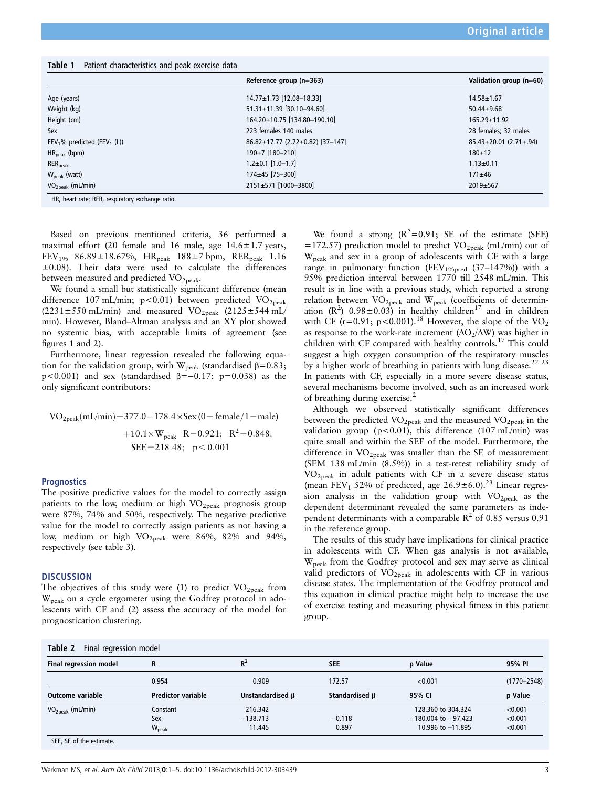| Table 1 |  | Patient characteristics and peak exercise data |
|---------|--|------------------------------------------------|
|---------|--|------------------------------------------------|

|                                                     | Reference group (n=363)          | Validation group (n=60)            |
|-----------------------------------------------------|----------------------------------|------------------------------------|
| Age (years)                                         | $14.77 \pm 1.73$ [12.08-18.33]   | $14.58 \pm 1.67$                   |
| Weight (kg)                                         | 51.31±11.39 [30.10-94.60]        | $50.44 \pm 9.68$                   |
| Height (cm)                                         | 164.20±10.75 [134.80-190.10]     | $165.29 \pm 11.92$                 |
| Sex                                                 | 223 females 140 males            | 28 females; 32 males               |
| FEV <sub>1</sub> % predicted (FEV <sub>1</sub> (L)) | 86.82±17.77 (2.72±0.82) [37-147] | $85.43 \pm 20.01$ (2.71 $\pm$ .94) |
| $HR_{\text{peak}}$ (bpm)                            | $190 \pm 7$ [180-210]            | $180+12$                           |
| $RER_{peak}$                                        | $1.2 \pm 0.1$ [1.0-1.7]          | $1.13 \pm 0.11$                    |
| $W_{\text{peak}}$ (watt)                            | $174 \pm 45$ [75-300]            | $171 + 46$                         |
| $VO2peak$ (mL/min)                                  | 2151±571 [1000-3800]             | 2019±567                           |
| HR, heart rate; RER, respiratory exchange ratio.    |                                  |                                    |

Based on previous mentioned criteria, 36 performed a maximal effort (20 female and 16 male, age 14.6±1.7 years, FEV<sub>1%</sub> 86.89±18.67%, HR<sub>peak</sub> 188±7 bpm, RER<sub>peak</sub> 1.16 ±0.08). Their data were used to calculate the differences between measured and predicted VO<sub>2peak</sub>.

We found a small but statistically significant difference (mean difference 107 mL/min; p<0.01) between predicted  $VO<sub>2peak</sub>$  $(2231\pm550 \text{ mL/min})$  and measured VO<sub>2peak</sub>  $(2125\pm544 \text{ mL/m})$ min). However, Bland–Altman analysis and an XY plot showed no systemic bias, with acceptable limits of agreement (see figures 1 and 2).

Furthermore, linear regression revealed the following equation for the validation group, with W<sub>peak</sub> (standardised  $\beta$ =0.83; p<0.001) and sex (standardised β=−0.17; p=0.038) as the only significant contributors:

$$
VO_{2peak}(mL/min) = 377.0 - 178.4 \times Sex (0 = female/1 = male)
$$

$$
+ 10.1 \times W_{peak} R = 0.921; R2 = 0.848;
$$

$$
SEE = 218.48; p < 0.001
$$

#### **Prognostics**

The positive predictive values for the model to correctly assign patients to the low, medium or high  $VO<sub>2peak</sub>$  prognosis group were 87%, 74% and 50%, respectively. The negative predictive value for the model to correctly assign patients as not having a low, medium or high  $VO_{2peak}$  were 86%, 82% and 94%, respectively (see table 3).

#### **DISCUSSION**

The objectives of this study were (1) to predict  $VO_{2peak}$  from Wpeak on a cycle ergometer using the Godfrey protocol in adolescents with CF and (2) assess the accuracy of the model for prognostication clustering.

We found a strong  $(R^2=0.91;$  SE of the estimate (SEE) =172.57) prediction model to predict  $VO<sub>2peak</sub>$  (mL/min) out of Wpeak and sex in a group of adolescents with CF with a large range in pulmonary function (FEV<sub>1%pred</sub> (37-147%)) with a 95% prediction interval between 1770 till 2548 mL/min. This result is in line with a previous study, which reported a strong relation between  $VO_{2peak}$  and  $W_{peak}$  (coefficients of determination  $(R^2)$  0.98±0.03) in healthy children<sup>17</sup> and in children with CF ( $r=0.91$ ;  $p<0.001$ ).<sup>18</sup> However, the slope of the VO<sub>2</sub> as response to the work-rate increment  $(\Delta O<sub>2</sub>/\Delta W)$  was higher in children with CF compared with healthy controls.<sup>17</sup> This could suggest a high oxygen consumption of the respiratory muscles by a higher work of breathing in patients with lung disease.<sup>22 23</sup> In patients with CF, especially in a more severe disease status, several mechanisms become involved, such as an increased work of breathing during exercise.<sup>2</sup>

Although we observed statistically significant differences between the predicted  $VO_{2\text{peak}}$  and the measured  $VO_{2\text{peak}}$  in the validation group ( $p$ <0.01), this difference (107 mL/min) was quite small and within the SEE of the model. Furthermore, the difference in  $VO<sub>2peak</sub>$  was smaller than the SE of measurement (SEM 138 mL/min (8.5%)) in a test-retest reliability study of  $VO<sub>2peak</sub>$  in adult patients with CF in a severe disease status (mean FEV<sub>1</sub> 52% of predicted, age  $26.9 \pm 6.0$ ).<sup>23</sup> Linear regression analysis in the validation group with  $VO_{2\rm peak}$  as the dependent determinant revealed the same parameters as independent determinants with a comparable  $R^2$  of 0.85 versus 0.91 in the reference group.

The results of this study have implications for clinical practice in adolescents with CF. When gas analysis is not available, Wpeak from the Godfrey protocol and sex may serve as clinical valid predictors of  $VO_{2peak}$  in adolescents with CF in various disease states. The implementation of the Godfrey protocol and this equation in clinical practice might help to increase the use of exercise testing and measuring physical fitness in this patient group.

| <b>Final regression model</b> | R                         | $R^2$            | <b>SEE</b>     | p Value                 | 95% PI          |
|-------------------------------|---------------------------|------------------|----------------|-------------------------|-----------------|
|                               | 0.954                     | 0.909            | 172.57         | < 0.001                 | $(1770 - 2548)$ |
| Outcome variable              | <b>Predictor variable</b> | Unstandardised B | Standardised B | 95% CI                  | p Value         |
| $VO2peak$ (mL/min)            | Constant                  | 216.342          |                | 128,360 to 304,324      | < 0.001         |
|                               | Sex                       | $-138.713$       | $-0.118$       | $-180.004$ to $-97.423$ | < 0.001         |
|                               | $W_{\text{peak}}$         | 11.445           | 0.897          | 10.996 to -11.895       | < 0.001         |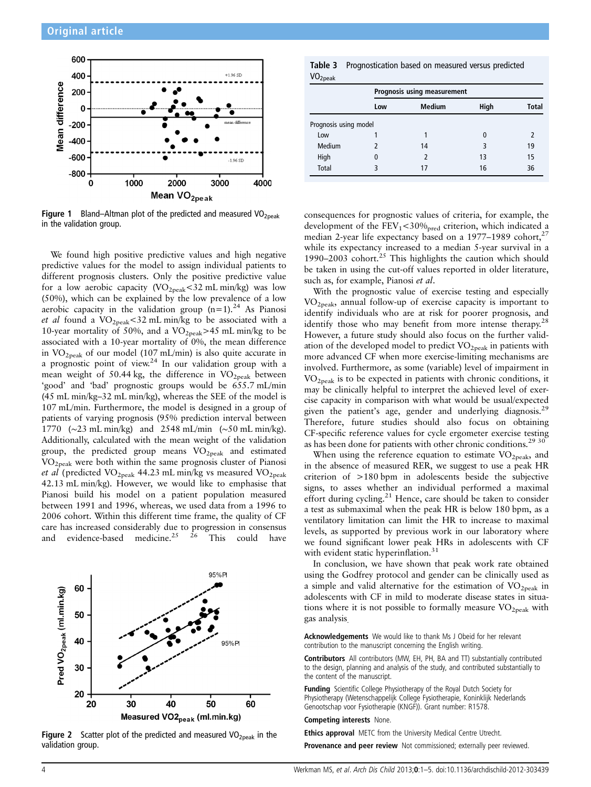

**Figure 1** Bland–Altman plot of the predicted and measured  $VO<sub>2peak</sub>$ in the validation group.

We found high positive predictive values and high negative predictive values for the model to assign individual patients to different prognosis clusters. Only the positive predictive value for a low aerobic capacity  $(VO_{2\text{peak}}<32 \text{ mL min/kg})$  was low (50%), which can be explained by the low prevalence of a low aerobic capacity in the validation group  $(n=1)$ .<sup>24</sup> As Pianosi et al found a VO2peak<32 mL min/kg to be associated with a 10-year mortality of 50%, and a  $VO<sub>2peak</sub> > 45$  mL min/kg to be associated with a 10-year mortality of 0%, the mean difference in  $VO<sub>2peak</sub>$  of our model (107 mL/min) is also quite accurate in a prognostic point of view.<sup>24</sup> In our validation group with a mean weight of 50.44 kg, the difference in  $VO<sub>2peak</sub>$  between 'good' and 'bad' prognostic groups would be 655.7 mL/min (45 mL min/kg–32 mL min/kg), whereas the SEE of the model is 107 mL/min. Furthermore, the model is designed in a group of patients of varying prognosis (95% prediction interval between 1770 (∼23 mL min/kg) and 2548 mL/min (∼50 mL min/kg). Additionally, calculated with the mean weight of the validation group, the predicted group means VO<sub>2peak</sub> and estimated VO2peak were both within the same prognosis cluster of Pianosi et al (predicted VO<sub>2peak</sub> 44.23 mL min/kg vs measured VO<sub>2peak</sub> 42.13 mL min/kg). However, we would like to emphasise that Pianosi build his model on a patient population measured between 1991 and 1996, whereas, we used data from a 1996 to 2006 cohort. Within this different time frame, the quality of CF care has increased considerably due to progression in consensus and evidence-based medicine.<sup>25 26</sup> This could have



Figure 2 Scatter plot of the predicted and measured  $VO<sub>2peak</sub>$  in the validation group.

Table 3 Prognostication based on measured versus predicted  $VO<sub>2</sub>$ 

|                       |     | Prognosis using measurement |      |              |  |  |  |  |
|-----------------------|-----|-----------------------------|------|--------------|--|--|--|--|
|                       | Low | <b>Medium</b>               | High | <b>Total</b> |  |  |  |  |
| Prognosis using model |     |                             |      |              |  |  |  |  |
| Low                   |     |                             | 0    |              |  |  |  |  |
| Medium                | 7   | 14                          | 3    | 19           |  |  |  |  |
| High                  | 0   |                             | 13   | 15           |  |  |  |  |
| <b>Total</b>          | ς   | 17                          | 16   | 36           |  |  |  |  |

consequences for prognostic values of criteria, for example, the development of the  $FEV_1 < 30\%_{pred}$  criterion, which indicated a median 2-year life expectancy based on a  $1977-1989$  cohort,<sup>27</sup> while its expectancy increased to a median 5-year survival in a 1990–2003 cohort.<sup>25</sup> This highlights the caution which should be taken in using the cut-off values reported in older literature, such as, for example, Pianosi et al.

With the prognostic value of exercise testing and especially VO2peak, annual follow-up of exercise capacity is important to identify individuals who are at risk for poorer prognosis, and identify those who may benefit from more intense therapy.<sup>28</sup> However, a future study should also focus on the further validation of the developed model to predict  $VO<sub>2peak</sub>$  in patients with more advanced CF when more exercise-limiting mechanisms are involved. Furthermore, as some (variable) level of impairment in VO2peak is to be expected in patients with chronic conditions, it may be clinically helpful to interpret the achieved level of exercise capacity in comparison with what would be usual/expected given the patient's age, gender and underlying diagnosis.<sup>29</sup> Therefore, future studies should also focus on obtaining CF-specific reference values for cycle ergometer exercise testing as has been done for patients with other chronic conditions.<sup>29</sup> <sup>30</sup>

When using the reference equation to estimate  $VO<sub>2peak</sub>$ , and in the absence of measured RER, we suggest to use a peak HR criterion of >180 bpm in adolescents beside the subjective signs, to asses whether an individual performed a maximal effort during cycling.<sup>21</sup> Hence, care should be taken to consider a test as submaximal when the peak HR is below 180 bpm, as a ventilatory limitation can limit the HR to increase to maximal levels, as supported by previous work in our laboratory where we found significant lower peak HRs in adolescents with CF with evident static hyperinflation.<sup>31</sup>

In conclusion, we have shown that peak work rate obtained using the Godfrey protocol and gender can be clinically used as a simple and valid alternative for the estimation of  $VO<sub>2peak</sub>$  in adolescents with CF in mild to moderate disease states in situations where it is not possible to formally measure  $VO<sub>2peak</sub>$  with gas analysis.

Acknowledgements We would like to thank Ms J Obeid for her relevant contribution to the manuscript concerning the English writing.

Contributors All contributors (MW, EH, PH, BA and TT) substantially contributed to the design, planning and analysis of the study, and contributed substantially to the content of the manuscript.

Funding Scientific College Physiotherapy of the Royal Dutch Society for Physiotherapy (Wetenschappelijk College Fysiotherapie, Koninklijk Nederlands Genootschap voor Fysiotherapie (KNGF)). Grant number: R1578.

Competing interests None.

Ethics approval METC from the University Medical Centre Utrecht.

Provenance and peer review Not commissioned; externally peer reviewed.